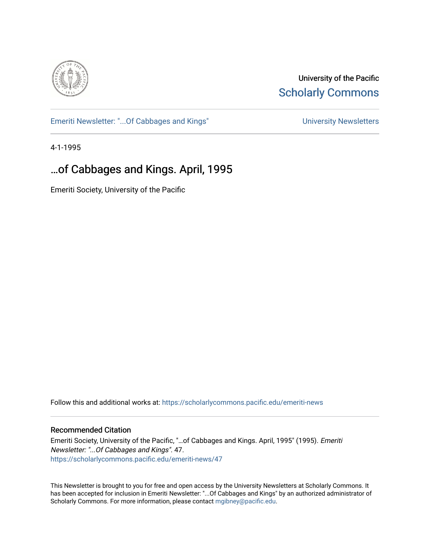

University of the Pacific **Scholarly Commons** 

[Emeriti Newsletter: "...Of Cabbages and Kings"](https://scholarlycommons.pacific.edu/emeriti-news) Newsletters University Newsletters

4-1-1995

# …of Cabbages and Kings. April, 1995

Emeriti Society, University of the Pacific

Follow this and additional works at: [https://scholarlycommons.pacific.edu/emeriti-news](https://scholarlycommons.pacific.edu/emeriti-news?utm_source=scholarlycommons.pacific.edu%2Femeriti-news%2F47&utm_medium=PDF&utm_campaign=PDFCoverPages)

#### Recommended Citation

Emeriti Society, University of the Pacific, "…of Cabbages and Kings. April, 1995" (1995). Emeriti Newsletter: "...Of Cabbages and Kings". 47. [https://scholarlycommons.pacific.edu/emeriti-news/47](https://scholarlycommons.pacific.edu/emeriti-news/47?utm_source=scholarlycommons.pacific.edu%2Femeriti-news%2F47&utm_medium=PDF&utm_campaign=PDFCoverPages) 

This Newsletter is brought to you for free and open access by the University Newsletters at Scholarly Commons. It has been accepted for inclusion in Emeriti Newsletter: "...Of Cabbages and Kings" by an authorized administrator of Scholarly Commons. For more information, please contact [mgibney@pacific.edu.](mailto:mgibney@pacific.edu)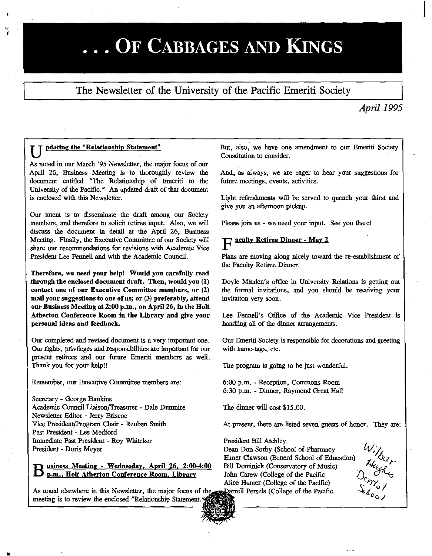# ... OF CABBAGES AND KINGS

## The Newsletter of the University of the Pacific Emeriti Society

### *April1995*

#### **u pdating the "Relationship Statement"**

As noted in our March '95 Newsletter, the major focus of our April 26, Business Meeting is to thoroughly review the document entitled "The Relationship of Emeriti to the University of the Pacific." An updated draft of that document is enclosed with this Newsletter.

Our intent is to disseminate the draft among our Society members, and therefore to solicit retiree input. Also, we will discuss the document in detail at the April 26, Business Meeting. Finally, the Executive Committee of our Society will share our recommendations for revisions with Academic Vice President Lee Fennell and with the Academic Council.

Therefore, we need your help! Would you carefully read through the enclosed document draft. Then, would you (1) contact one of our Executive Committee members, or (2) mail your suggestions to one of us; or (3) preferably, attend our Business Meeting at 2:00 p.m., on April 26, in the Holt Atherton Conference Room in the Library and give your personal ideas and feedback.

Our completed and revised document is a very important one. Our rights, privlleges and responsibilities are important for our present retirees and our future Emeriti members as well. Thank you for your help!!

Remember, our Executive Committee members are:

Secretary - George Hankins Academic Council Liaison/Treasurer - Dale Dunmire Newsletter Editor - Jerry Briscoe Vice President/Program Chair - Reuben Smith Past President - Les Medford lmmediate Past President - Roy Whiteker President - Doris Meyer

•

B usiness Meeting - Wednesday, April 26, 2:00-4:00<br>B p.m., Holt Atherton Conference Room, Library

As noted elsewhere in this Newsletter, the major focus of the meeting is to review the enclosed "Relationship Statement.

But, also, we have one amendment to our Emeriti Society Constitution to consider.

And, as always, we are eager to hear your suggestions for future meetings, events, activities.

Light refreshments will be served to quench your thirst and give you an afternoon pickup.

Please join us - we need your input. See you there!

# F acuity Retiree Dinner • May 2

Plans are moving along nicely toward the re-establishment of the Faculty Retiree Dinner.

Doyle Minden's office in University Relations is getting out the formal invitations, and you should be receiving your invitation very soon.

Lee Fennell's Office of the Academic Vice President is handling all of the dinner arrangements.

Our Emeriti Society is responsible for decorations and greeting with name-tags, etc.

The program is going to be just wonderful.

6:00 p.m. - Reception, Commons Room 6:30 p.m. - Dinner, Raymond Great Hall

The dinner will cost \$15.00.

At present, there are listed seven guests of honor. They are:

President Bill Atchley Dean Don Sorby (School of Pharmacy Elmer Clawson (Benerd School of Education) Bill Dominick (Conservatory of Music) John Carew (College of the Pacific Alice Hunter (College of the Pacific) Parrell Persels (College of the Pacific



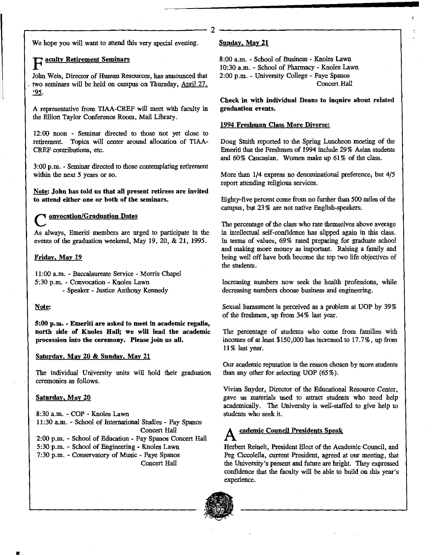r------------------------------2 We hope you will want to attend this very special evening.

### aculty Retirement Seminars

John Weis, Director of Human Resources, has announced that . two seminars will be held on campus on Thursday, April 27. '95.

A representative from TIAA-CREF will meet with faculty in the Elliott Taylor Conference Room, Mail Library.

12:00 noon - Seminar directed to those not yet close to retirement. Topics will center around allocation of TlAA-CREF contributions, etc.

3:00 p.m. - Seminar directed to those contemplating retirement within the next *5* years or so.

Note: John has told us that aU present retirees are invited to attend either one or both of the seminars.

#### onvocation/Graduation Dates

As always, Emeriti members are urged to participate in the events of the graduation weekend, May 19, 20, & 21, 1995.

#### Fridav, May 19

11:00 a.m. -Baccalaureate Service- Morris Chapel 5:30p.m. - Convocation- Knoles Lawn - Speaker - Justice Anthony Kennedy

#### Note:

5:00 p.m. • Emeriti are asked to meet in academic regalia, north side of Knoles Hall; we will lead the academic **procession into the ceremony. Please join us all.** 

#### Saturday, May 20 & Sunday, May 21

The individual University units will hold their graduation ceremonies as follows.

#### Saturday, May 20

8:30 a.m. - COP • Knoles Lawn 11:30 a.m. - School of Internatioual Studies - Fay Spanos Concert Hail 2:00 p.m. - School of Education - Fay Spanos Concert Hall 5:30 p.m. - School of Engineering - Knoles Lawn 7:30 p.m. - Conservatory of Music - Faye Spanos Concert Hall

#### Sunday, May 21

8:00a.m. -School of Business- Knoles Lawn 10:30 a.m. - School of Pharmacy -Knoles Lawn 2:00 p.m. - University College - Faye Spanos Concert Hall

Check in with individual Deans to inquire about related graduation events.

#### 1994 Freshman Class More Diverse:

Doug Smith reported to the Spring Luncheon meeting of the Emeriti that the Freshmen of 1994 include 29% Asian students and 60% Caucasian. Women make up 61% of the class.

More than 1/4 express no denominational preference, but 4/5 report attending religious services.

Eighty-five percent come from no further than *500* miles of the campus, but 23% are not native English-speakers.

The percentage of the class who rate themselves above average in intellectual self-confidence has slipped again in this class. In terms of values, 69% rated preparing for graduate school and making more money as important. Raising a family and being well off have both become the top two life objectives of the students.

Increasing numbers now seek the health professions, while decreasing numbers choose business and engineering.

Sexual harassment is perceived as a problem at UOP by 39% of the freshmen, up from 34% last year.

The percentage of students who come from families with incomes of at least \$150,000 has increased to 17.7%, up from 11 % last year.

Our academic reputation is the reason chosen by more students than any other for selecting UOP (65% ).

Vivian Snyder, Director of the Educational Resource Center, gave us materials used to attract students who need help academically. The University is well-staffed to give help to students who seek it.

# cademic Council Presidents Speak

Herbert Reinelt, President Elect of the Acadentic Council, and Peg Ciccolella, current President, agreed at our meeting, that the University's present and futore are bright. They expressed confidence that the faculty will be able to build on this year's experience .

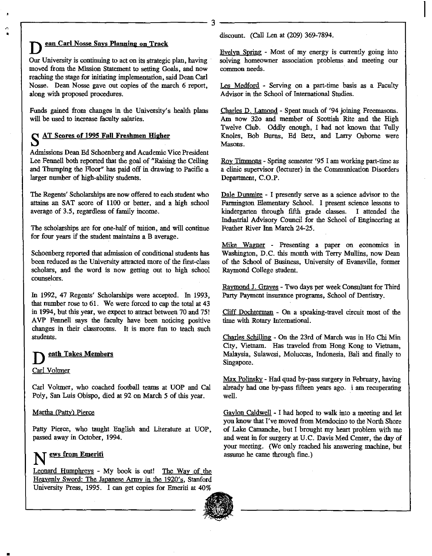Our University is continuing to act on its strategic plan, having moved from the Mission Statement to setting Goals, and now reaching the stage for initiating implementation, said Dean Carl Nosse. Dean Nosse gave out copies of the march 6 report, along with proposed procedures.

 $\overline{\phantom{a}}$ 

**Dean Carl Nosse Says Planning on Track** 

Funds gained from changes in the University's health plans will be used to increase faculty salaries.

#### **s** AT Scores of 1995 Fall Freshmen Higher

Admissions Dean Ed Schoenberg and Academic Vice President Lee Fennell both reported that the goal of "Raising the Ceiling and Thumping the Floor" has paid off in drawing to Pacific a larger number of high-ability stndents.

The Regents' Scholarships are now offered to each stndent who attains an SAT score of 1100 or better, and a high school average of 3.5, regardless of family income.

The scholarships are for one-half of mition, and will continue for four years if the stndent maintains a B average.

Schoenberg reported that admission of conditional stndents has been reduced as the University attracted more of the first-class scholars, and the word is now getting out to high school counselors.

In 1992, 47 Regents' Scholarships were accepted. In 1993, that number rose to 61. We were forced to cap the total at 43 in 1994, but this year, we expect to attract between 70 and 75! A VP Fennell says the faculty have been noticing positive changes in their classrooms. It is more fun to teach such stndents.

#### **eath Takes Members**

#### Carl Voltmer

•

•

Carl Voltmer, who coached football teams at UOP and Cal Poly, San Luis Obispo, died at 92 on March 5 of this year.

#### Martha (Patty) Pierce

Patty Pierce, who taught English and Literature at UOP, passed away in October, 1994.

#### **N ews from Emeriti**

Leqnard Humphreys - My book is out! The Way of the Heavenly Sword: The Japanese Army in the 1920's, Stanford University Press, 1995. I can get copies for Emeriti at 40%

discount. (Call Len at (209) 369-7894 .

Evelvn Spring - Most of my energy is currently going into solving homeowner association problems and meeting our common needs.

Les Medford - Serving on a part-time basis as a Faculty Advisor in the School of International Stndies.

Charles D. Lamond- Spent much of '94 joining Freemasons. Am now 32o and member of Scottish Rite and the High Twelve Club. Oddly enough, I had not known that Tully Knoles, Bob Burns, Ed Betz, and Larry Osborne were Masons.

Roy Timmons - Spring semester '95 I am working part-time as a clinic supervisor Qecturer) in the Communication Disorders Department, C.O.P.

Dale Dunmire - I presently serve as a science advisor to the Farmington Elementary School. I present science lessons to kindergarten through fifth grade classes. I attended the Industrial Advisory Council for the School of Engineering at Feather River Inn March 24-25.

Mike Wagner - Presenting a paper on economics in Washington, D.C. this month with Terry Mullins, now Dean of the School of Business, University of Evansville, former Raymond College stndent.

Ravmond J. Graves - Two days per week Consnltant for Third Party Payment insurance programs, School of Dentistry.

Cliff Dochterman - On a speaking-travel circuit most of the time with Rotary International.

Charles Schilling - On the 23rd of March was in Ho Chi Min City, Vietnam. Has traveled from Hong Kong to Vietnam, Malaysia, Sulawesi, Moluccas, Indonesia, Bali and finally to Singapore.

Max Polinsky- Had quad by-pass surgery in February, having already had one by-pass fifteen years ago. i am recuperating well.

Gaylon Caldwell - I had hoped to walk into a meeting and let you know that I've moved from Mendocino to the North Shore of Lake Camanche, but I brought my heart problem with me and went in for surgery at U.C. Davis Med Center, the day of your meeting. (We only reached his answering machine, but assume he came through fine.)